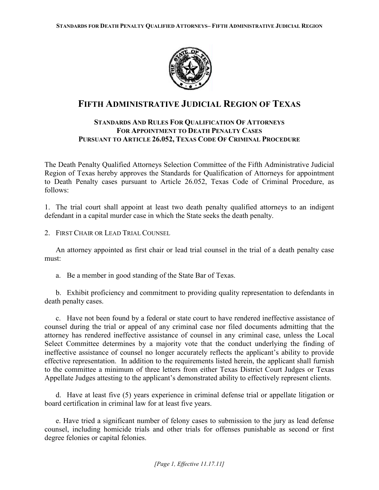

# **FIFTH ADMINISTRATIVE JUDICIAL REGION OF TEXAS**

## **STANDARDS AND RULES FOR QUALIFICATION OF ATTORNEYS FOR APPOINTMENT TO DEATH PENALTY CASES PURSUANT TO ARTICLE 26.052, TEXAS CODE OF CRIMINAL PROCEDURE**

The Death Penalty Qualified Attorneys Selection Committee of the Fifth Administrative Judicial Region of Texas hereby approves the Standards for Qualification of Attorneys for appointment to Death Penalty cases pursuant to Article 26.052, Texas Code of Criminal Procedure, as follows:

1. The trial court shall appoint at least two death penalty qualified attorneys to an indigent defendant in a capital murder case in which the State seeks the death penalty.

2 FIRST CHAIR OR LEAD TRIAL COUNSEL

 An attorney appointed as first chair or lead trial counsel in the trial of a death penalty case must:

a. Be a member in good standing of the State Bar of Texas.

 b. Exhibit proficiency and commitment to providing quality representation to defendants in death penalty cases.

 c. Have not been found by a federal or state court to have rendered ineffective assistance of counsel during the trial or appeal of any criminal case nor filed documents admitting that the attorney has rendered ineffective assistance of counsel in any criminal case, unless the Local Select Committee determines by a majority vote that the conduct underlying the finding of ineffective assistance of counsel no longer accurately reflects the applicant's ability to provide effective representation. In addition to the requirements listed herein, the applicant shall furnish to the committee a minimum of three letters from either Texas District Court Judges or Texas Appellate Judges attesting to the applicant's demonstrated ability to effectively represent clients.

 d. Have at least five (5) years experience in criminal defense trial or appellate litigation or board certification in criminal law for at least five years.

 e. Have tried a significant number of felony cases to submission to the jury as lead defense counsel, including homicide trials and other trials for offenses punishable as second or first degree felonies or capital felonies.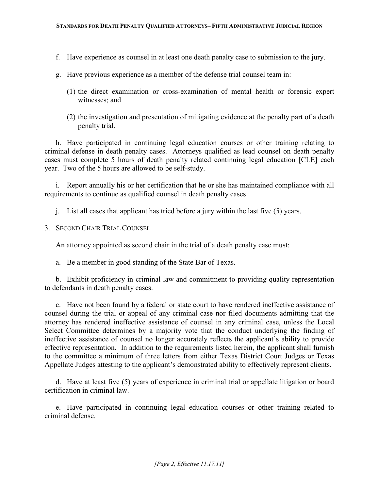- f. Have experience as counsel in at least one death penalty case to submission to the jury.
- g. Have previous experience as a member of the defense trial counsel team in:
	- (1) the direct examination or cross-examination of mental health or forensic expert witnesses; and
	- (2) the investigation and presentation of mitigating evidence at the penalty part of a death penalty trial.

 h. Have participated in continuing legal education courses or other training relating to criminal defense in death penalty cases. Attorneys qualified as lead counsel on death penalty cases must complete 5 hours of death penalty related continuing legal education [CLE] each year. Two of the 5 hours are allowed to be self-study.

 i. Report annually his or her certification that he or she has maintained compliance with all requirements to continue as qualified counsel in death penalty cases.

j. List all cases that applicant has tried before a jury within the last five (5) years.

3. SECOND CHAIR TRIAL COUNSEL

An attorney appointed as second chair in the trial of a death penalty case must:

a. Be a member in good standing of the State Bar of Texas.

 b. Exhibit proficiency in criminal law and commitment to providing quality representation to defendants in death penalty cases.

 c. Have not been found by a federal or state court to have rendered ineffective assistance of counsel during the trial or appeal of any criminal case nor filed documents admitting that the attorney has rendered ineffective assistance of counsel in any criminal case, unless the Local Select Committee determines by a majority vote that the conduct underlying the finding of ineffective assistance of counsel no longer accurately reflects the applicant's ability to provide effective representation. In addition to the requirements listed herein, the applicant shall furnish to the committee a minimum of three letters from either Texas District Court Judges or Texas Appellate Judges attesting to the applicant's demonstrated ability to effectively represent clients.

 d. Have at least five (5) years of experience in criminal trial or appellate litigation or board certification in criminal law.

 e. Have participated in continuing legal education courses or other training related to criminal defense.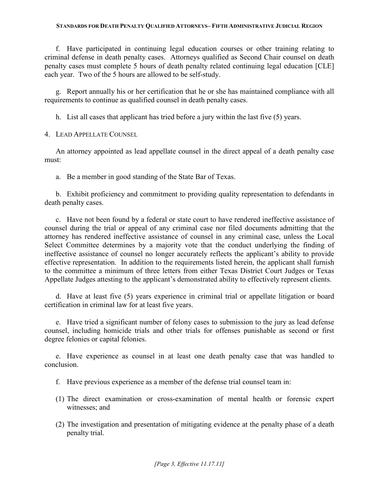f. Have participated in continuing legal education courses or other training relating to criminal defense in death penalty cases. Attorneys qualified as Second Chair counsel on death penalty cases must complete 5 hours of death penalty related continuing legal education [CLE] each year. Two of the 5 hours are allowed to be self-study.

 g. Report annually his or her certification that he or she has maintained compliance with all requirements to continue as qualified counsel in death penalty cases.

h. List all cases that applicant has tried before a jury within the last five (5) years.

4. LEAD APPELLATE COUNSEL

 An attorney appointed as lead appellate counsel in the direct appeal of a death penalty case must:

a. Be a member in good standing of the State Bar of Texas.

 b. Exhibit proficiency and commitment to providing quality representation to defendants in death penalty cases.

 c. Have not been found by a federal or state court to have rendered ineffective assistance of counsel during the trial or appeal of any criminal case nor filed documents admitting that the attorney has rendered ineffective assistance of counsel in any criminal case, unless the Local Select Committee determines by a majority vote that the conduct underlying the finding of ineffective assistance of counsel no longer accurately reflects the applicant's ability to provide effective representation. In addition to the requirements listed herein, the applicant shall furnish to the committee a minimum of three letters from either Texas District Court Judges or Texas Appellate Judges attesting to the applicant's demonstrated ability to effectively represent clients.

 d. Have at least five (5) years experience in criminal trial or appellate litigation or board certification in criminal law for at least five years.

 e. Have tried a significant number of felony cases to submission to the jury as lead defense counsel, including homicide trials and other trials for offenses punishable as second or first degree felonies or capital felonies.

 e. Have experience as counsel in at least one death penalty case that was handled to conclusion.

- f. Have previous experience as a member of the defense trial counsel team in:
- (1) The direct examination or cross-examination of mental health or forensic expert witnesses; and
- (2) The investigation and presentation of mitigating evidence at the penalty phase of a death penalty trial.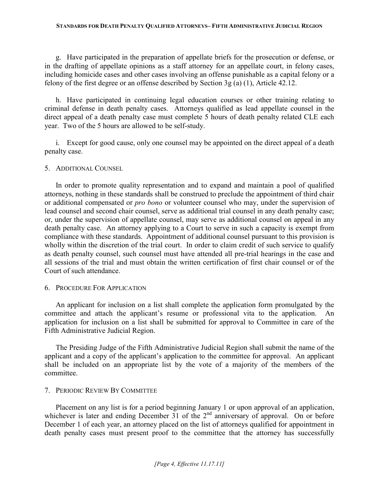g. Have participated in the preparation of appellate briefs for the prosecution or defense, or in the drafting of appellate opinions as a staff attorney for an appellate court, in felony cases, including homicide cases and other cases involving an offense punishable as a capital felony or a felony of the first degree or an offense described by Section 3g (a) (1), Article 42.12.

 h. Have participated in continuing legal education courses or other training relating to criminal defense in death penalty cases. Attorneys qualified as lead appellate counsel in the direct appeal of a death penalty case must complete 5 hours of death penalty related CLE each year. Two of the 5 hours are allowed to be self-study.

 i. Except for good cause, only one counsel may be appointed on the direct appeal of a death penalty case.

### 5. ADDITIONAL COUNSEL

 In order to promote quality representation and to expand and maintain a pool of qualified attorneys, nothing in these standards shall be construed to preclude the appointment of third chair or additional compensated or *pro bono* or volunteer counsel who may, under the supervision of lead counsel and second chair counsel, serve as additional trial counsel in any death penalty case; or, under the supervision of appellate counsel, may serve as additional counsel on appeal in any death penalty case. An attorney applying to a Court to serve in such a capacity is exempt from compliance with these standards. Appointment of additional counsel pursuant to this provision is wholly within the discretion of the trial court. In order to claim credit of such service to qualify as death penalty counsel, such counsel must have attended all pre-trial hearings in the case and all sessions of the trial and must obtain the written certification of first chair counsel or of the Court of such attendance.

### 6. PROCEDURE FOR APPLICATION

 An applicant for inclusion on a list shall complete the application form promulgated by the committee and attach the applicant's resume or professional vita to the application. An application for inclusion on a list shall be submitted for approval to Committee in care of the Fifth Administrative Judicial Region.

 The Presiding Judge of the Fifth Administrative Judicial Region shall submit the name of the applicant and a copy of the applicant's application to the committee for approval. An applicant shall be included on an appropriate list by the vote of a majority of the members of the committee.

### 7. PERIODIC REVIEW BY COMMITTEE

 Placement on any list is for a period beginning January 1 or upon approval of an application, whichever is later and ending December 31 of the  $2<sup>nd</sup>$  anniversary of approval. On or before December 1 of each year, an attorney placed on the list of attorneys qualified for appointment in death penalty cases must present proof to the committee that the attorney has successfully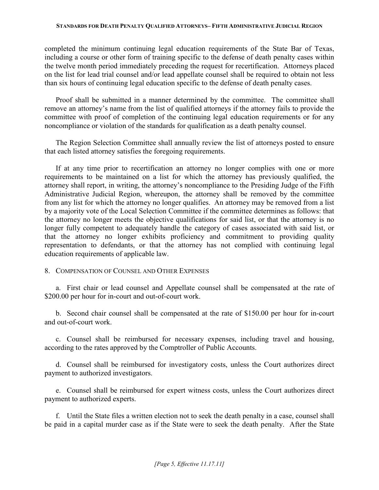completed the minimum continuing legal education requirements of the State Bar of Texas, including a course or other form of training specific to the defense of death penalty cases within the twelve month period immediately preceding the request for recertification. Attorneys placed on the list for lead trial counsel and/or lead appellate counsel shall be required to obtain not less than six hours of continuing legal education specific to the defense of death penalty cases.

 Proof shall be submitted in a manner determined by the committee. The committee shall remove an attorney's name from the list of qualified attorneys if the attorney fails to provide the committee with proof of completion of the continuing legal education requirements or for any noncompliance or violation of the standards for qualification as a death penalty counsel.

 The Region Selection Committee shall annually review the list of attorneys posted to ensure that each listed attorney satisfies the foregoing requirements.

 If at any time prior to recertification an attorney no longer complies with one or more requirements to be maintained on a list for which the attorney has previously qualified, the attorney shall report, in writing, the attorney's noncompliance to the Presiding Judge of the Fifth Administrative Judicial Region, whereupon, the attorney shall be removed by the committee from any list for which the attorney no longer qualifies. An attorney may be removed from a list by a majority vote of the Local Selection Committee if the committee determines as follows: that the attorney no longer meets the objective qualifications for said list, or that the attorney is no longer fully competent to adequately handle the category of cases associated with said list, or that the attorney no longer exhibits proficiency and commitment to providing quality representation to defendants, or that the attorney has not complied with continuing legal education requirements of applicable law.

### 8. COMPENSATION OF COUNSEL AND OTHER EXPENSES

 a. First chair or lead counsel and Appellate counsel shall be compensated at the rate of \$200.00 per hour for in-court and out-of-court work.

 b. Second chair counsel shall be compensated at the rate of \$150.00 per hour for in-court and out-of-court work.

 c. Counsel shall be reimbursed for necessary expenses, including travel and housing, according to the rates approved by the Comptroller of Public Accounts.

 d. Counsel shall be reimbursed for investigatory costs, unless the Court authorizes direct payment to authorized investigators.

 e. Counsel shall be reimbursed for expert witness costs, unless the Court authorizes direct payment to authorized experts.

 f. Until the State files a written election not to seek the death penalty in a case, counsel shall be paid in a capital murder case as if the State were to seek the death penalty. After the State